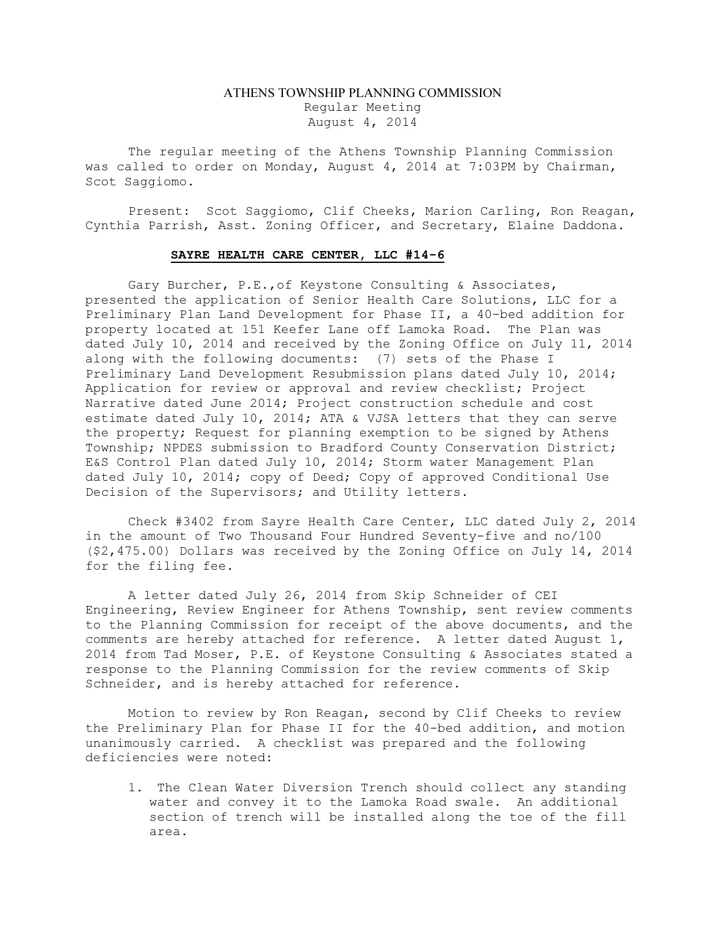# ATHENS TOWNSHIP PLANNING COMMISSION Regular Meeting August 4, 2014

The regular meeting of the Athens Township Planning Commission was called to order on Monday, August 4, 2014 at 7:03PM by Chairman, Scot Saggiomo.

Present: Scot Saggiomo, Clif Cheeks, Marion Carling, Ron Reagan, Cynthia Parrish, Asst. Zoning Officer, and Secretary, Elaine Daddona.

### SAYRE HEALTH CARE CENTER, LLC #14-6

Gary Burcher, P.E.,of Keystone Consulting & Associates, presented the application of Senior Health Care Solutions, LLC for a Preliminary Plan Land Development for Phase II, a 40-bed addition for property located at 151 Keefer Lane off Lamoka Road. The Plan was dated July 10, 2014 and received by the Zoning Office on July 11, 2014 along with the following documents: (7) sets of the Phase I Preliminary Land Development Resubmission plans dated July 10, 2014; Application for review or approval and review checklist; Project Narrative dated June 2014; Project construction schedule and cost estimate dated July 10, 2014; ATA & VJSA letters that they can serve the property; Request for planning exemption to be signed by Athens Township; NPDES submission to Bradford County Conservation District; E&S Control Plan dated July 10, 2014; Storm water Management Plan dated July 10, 2014; copy of Deed; Copy of approved Conditional Use Decision of the Supervisors; and Utility letters.

Check #3402 from Sayre Health Care Center, LLC dated July 2, 2014 in the amount of Two Thousand Four Hundred Seventy-five and no/100 (\$2,475.00) Dollars was received by the Zoning Office on July 14, 2014 for the filing fee.

A letter dated July 26, 2014 from Skip Schneider of CEI Engineering, Review Engineer for Athens Township, sent review comments to the Planning Commission for receipt of the above documents, and the comments are hereby attached for reference. A letter dated August 1, 2014 from Tad Moser, P.E. of Keystone Consulting & Associates stated a response to the Planning Commission for the review comments of Skip Schneider, and is hereby attached for reference.

Motion to review by Ron Reagan, second by Clif Cheeks to review the Preliminary Plan for Phase II for the 40-bed addition, and motion unanimously carried. A checklist was prepared and the following deficiencies were noted:

1. The Clean Water Diversion Trench should collect any standing water and convey it to the Lamoka Road swale. An additional section of trench will be installed along the toe of the fill area.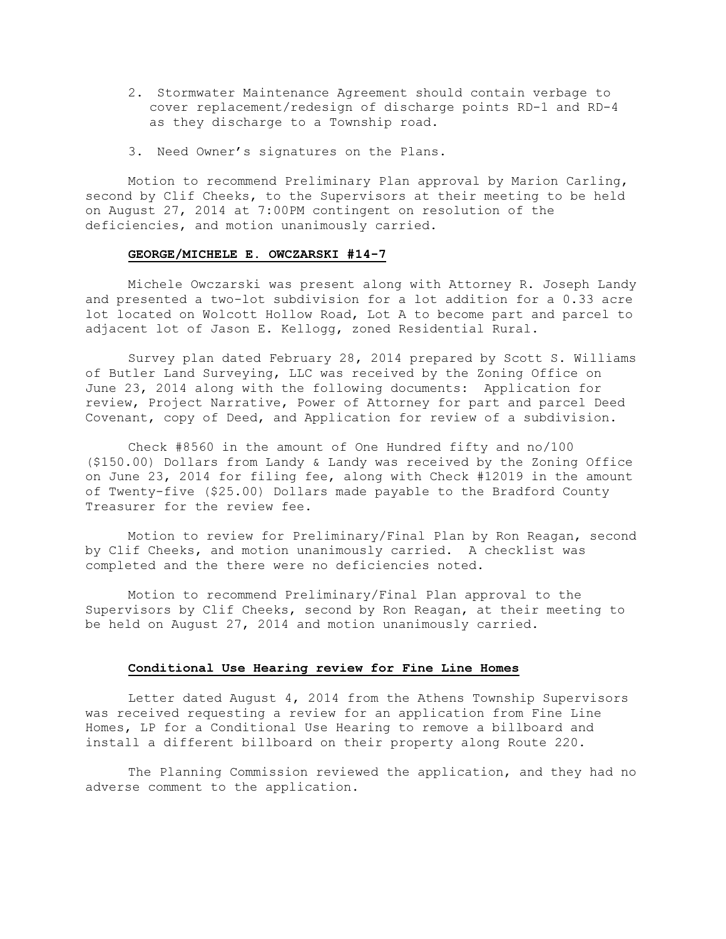- 2. Stormwater Maintenance Agreement should contain verbage to cover replacement/redesign of discharge points RD-1 and RD-4 as they discharge to a Township road.
- 3. Need Owner's signatures on the Plans.

Motion to recommend Preliminary Plan approval by Marion Carling, second by Clif Cheeks, to the Supervisors at their meeting to be held on August 27, 2014 at 7:00PM contingent on resolution of the deficiencies, and motion unanimously carried.

### GEORGE/MICHELE E. OWCZARSKI #14-7

Michele Owczarski was present along with Attorney R. Joseph Landy and presented a two-lot subdivision for a lot addition for a 0.33 acre lot located on Wolcott Hollow Road, Lot A to become part and parcel to adjacent lot of Jason E. Kellogg, zoned Residential Rural.

Survey plan dated February 28, 2014 prepared by Scott S. Williams of Butler Land Surveying, LLC was received by the Zoning Office on June 23, 2014 along with the following documents: Application for review, Project Narrative, Power of Attorney for part and parcel Deed Covenant, copy of Deed, and Application for review of a subdivision.

Check #8560 in the amount of One Hundred fifty and no/100 (\$150.00) Dollars from Landy & Landy was received by the Zoning Office on June 23, 2014 for filing fee, along with Check #12019 in the amount of Twenty-five (\$25.00) Dollars made payable to the Bradford County Treasurer for the review fee.

Motion to review for Preliminary/Final Plan by Ron Reagan, second by Clif Cheeks, and motion unanimously carried. A checklist was completed and the there were no deficiencies noted.

Motion to recommend Preliminary/Final Plan approval to the Supervisors by Clif Cheeks, second by Ron Reagan, at their meeting to be held on August 27, 2014 and motion unanimously carried.

### Conditional Use Hearing review for Fine Line Homes

Letter dated August 4, 2014 from the Athens Township Supervisors was received requesting a review for an application from Fine Line Homes, LP for a Conditional Use Hearing to remove a billboard and install a different billboard on their property along Route 220.

The Planning Commission reviewed the application, and they had no adverse comment to the application.